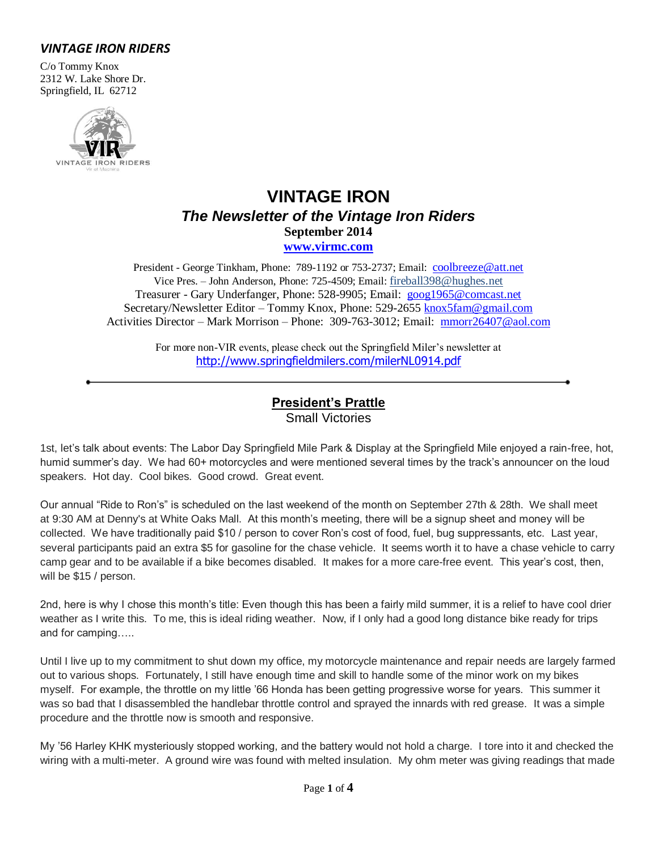### *VINTAGE IRON RIDERS*

C/o Tommy Knox 2312 W. Lake Shore Dr. Springfield, IL 62712



# **VINTAGE IRON** *The Newsletter of the Vintage Iron Riders* **September 2014 [www.virmc.com](http://www.virmc.com/)**

President - George Tinkham, Phone: 789-1192 or 753-2737; Email: [coolbreeze@att.net](mailto:coolbreeze@att.net) Vice Pres. – John Anderson, Phone: 725-4509; Email: fireball398@hughes.net Treasurer - Gary Underfanger, Phone: 528-9905; Email: [goog1965@comcast.net](mailto:goog1965@comcast.net) Secretary/Newsletter Editor – Tommy Knox, Phone: 529-2655 [knox5fam@gmail.com](mailto:knox5fam@gmail.com) Activities Director – Mark Morrison – Phone: 309-763-3012; Email: [mmorr26407@aol.com](mailto:mmorr26407@aol.com)

> For more non-VIR events, please check out the Springfield Miler's newsletter at [http://www.springfieldmilers.com/milerNL0914.pdf](http://www.springfieldmilers.com/milerNL0113.pdf)

# **President's Prattle**

Small Victories

1st, let's talk about events: The Labor Day Springfield Mile Park & Display at the Springfield Mile enjoyed a rain-free, hot, humid summer's day. We had 60+ motorcycles and were mentioned several times by the track's announcer on the loud speakers. Hot day. Cool bikes. Good crowd. Great event.

Our annual "Ride to Ron's" is scheduled on the last weekend of the month on September 27th & 28th. We shall meet at 9:30 AM at Denny's at White Oaks Mall. At this month's meeting, there will be a signup sheet and money will be collected. We have traditionally paid \$10 / person to cover Ron's cost of food, fuel, bug suppressants, etc. Last year, several participants paid an extra \$5 for gasoline for the chase vehicle. It seems worth it to have a chase vehicle to carry camp gear and to be available if a bike becomes disabled. It makes for a more care-free event. This year's cost, then, will be \$15 / person.

2nd, here is why I chose this month's title: Even though this has been a fairly mild summer, it is a relief to have cool drier weather as I write this. To me, this is ideal riding weather. Now, if I only had a good long distance bike ready for trips and for camping…..

Until I live up to my commitment to shut down my office, my motorcycle maintenance and repair needs are largely farmed out to various shops. Fortunately, I still have enough time and skill to handle some of the minor work on my bikes myself. For example, the throttle on my little '66 Honda has been getting progressive worse for years. This summer it was so bad that I disassembled the handlebar throttle control and sprayed the innards with red grease. It was a simple procedure and the throttle now is smooth and responsive.

My '56 Harley KHK mysteriously stopped working, and the battery would not hold a charge. I tore into it and checked the wiring with a multi-meter. A ground wire was found with melted insulation. My ohm meter was giving readings that made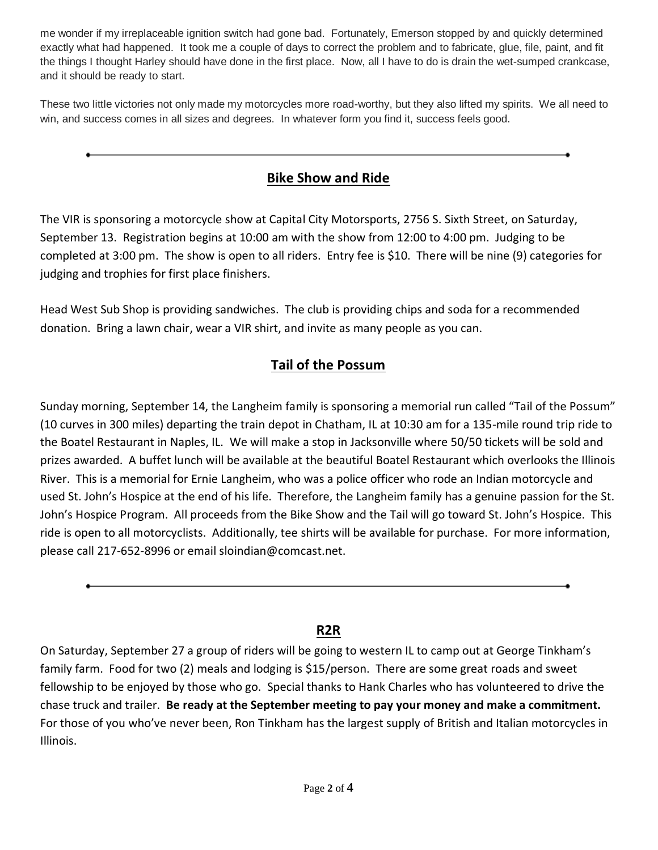me wonder if my irreplaceable ignition switch had gone bad. Fortunately, Emerson stopped by and quickly determined exactly what had happened. It took me a couple of days to correct the problem and to fabricate, glue, file, paint, and fit the things I thought Harley should have done in the first place. Now, all I have to do is drain the wet-sumped crankcase, and it should be ready to start.

These two little victories not only made my motorcycles more road-worthy, but they also lifted my spirits. We all need to win, and success comes in all sizes and degrees. In whatever form you find it, success feels good.

# **Bike Show and Ride**

The VIR is sponsoring a motorcycle show at Capital City Motorsports, 2756 S. Sixth Street, on Saturday, September 13. Registration begins at 10:00 am with the show from 12:00 to 4:00 pm. Judging to be completed at 3:00 pm. The show is open to all riders. Entry fee is \$10. There will be nine (9) categories for judging and trophies for first place finishers.

Head West Sub Shop is providing sandwiches. The club is providing chips and soda for a recommended donation. Bring a lawn chair, wear a VIR shirt, and invite as many people as you can.

# **Tail of the Possum**

Sunday morning, September 14, the Langheim family is sponsoring a memorial run called "Tail of the Possum" (10 curves in 300 miles) departing the train depot in Chatham, IL at 10:30 am for a 135-mile round trip ride to the Boatel Restaurant in Naples, IL. We will make a stop in Jacksonville where 50/50 tickets will be sold and prizes awarded. A buffet lunch will be available at the beautiful Boatel Restaurant which overlooks the Illinois River. This is a memorial for Ernie Langheim, who was a police officer who rode an Indian motorcycle and used St. John's Hospice at the end of his life. Therefore, the Langheim family has a genuine passion for the St. John's Hospice Program. All proceeds from the Bike Show and the Tail will go toward St. John's Hospice. This ride is open to all motorcyclists. Additionally, tee shirts will be available for purchase. For more information, please call 217-652-8996 or email sloindian@comcast.net.

## **R2R**

On Saturday, September 27 a group of riders will be going to western IL to camp out at George Tinkham's family farm. Food for two (2) meals and lodging is \$15/person. There are some great roads and sweet fellowship to be enjoyed by those who go. Special thanks to Hank Charles who has volunteered to drive the chase truck and trailer. **Be ready at the September meeting to pay your money and make a commitment.** For those of you who've never been, Ron Tinkham has the largest supply of British and Italian motorcycles in Illinois.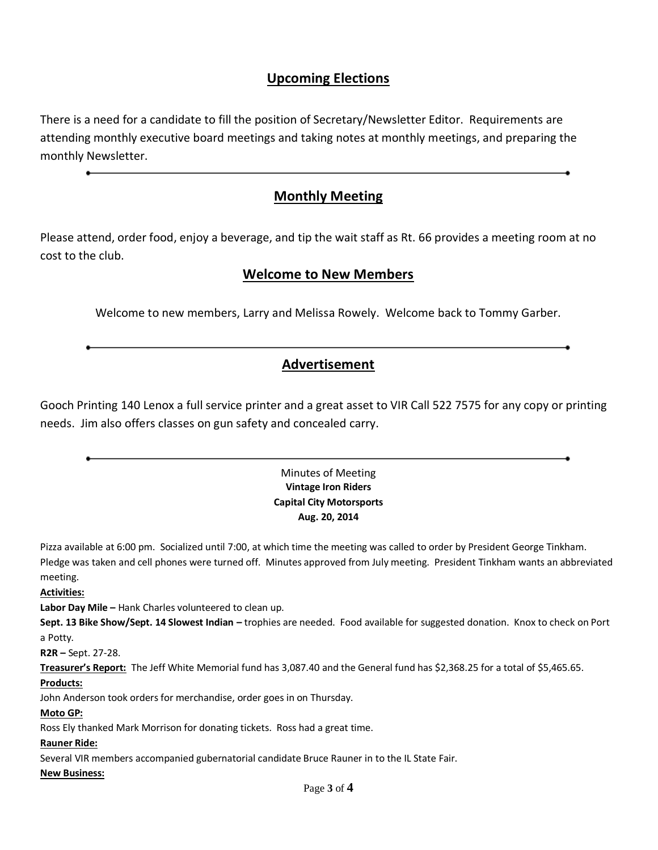### **Upcoming Elections**

There is a need for a candidate to fill the position of Secretary/Newsletter Editor. Requirements are attending monthly executive board meetings and taking notes at monthly meetings, and preparing the monthly Newsletter.

### **Monthly Meeting**

Please attend, order food, enjoy a beverage, and tip the wait staff as Rt. 66 provides a meeting room at no cost to the club.

### **Welcome to New Members**

Welcome to new members, Larry and Melissa Rowely. Welcome back to Tommy Garber.

### **Advertisement**

Gooch Printing 140 Lenox a full service printer and a great asset to VIR Call 522 7575 for any copy or printing needs. Jim also offers classes on gun safety and concealed carry.

### Minutes of Meeting **Vintage Iron Riders Capital City Motorsports Aug. 20, 2014**

Pizza available at 6:00 pm. Socialized until 7:00, at which time the meeting was called to order by President George Tinkham. Pledge was taken and cell phones were turned off. Minutes approved from July meeting. President Tinkham wants an abbreviated meeting.

**Activities:**

**Labor Day Mile –** Hank Charles volunteered to clean up.

**Sept. 13 Bike Show/Sept. 14 Slowest Indian –** trophies are needed. Food available for suggested donation. Knox to check on Port a Potty.

**R2R –** Sept. 27-28.

**Treasurer's Report:** The Jeff White Memorial fund has 3,087.40 and the General fund has \$2,368.25 for a total of \$5,465.65.

#### **Products:**

John Anderson took orders for merchandise, order goes in on Thursday.

#### **Moto GP:**

Ross Ely thanked Mark Morrison for donating tickets. Ross had a great time.

#### **Rauner Ride:**

Several VIR members accompanied gubernatorial candidate Bruce Rauner in to the IL State Fair.

**New Business:**